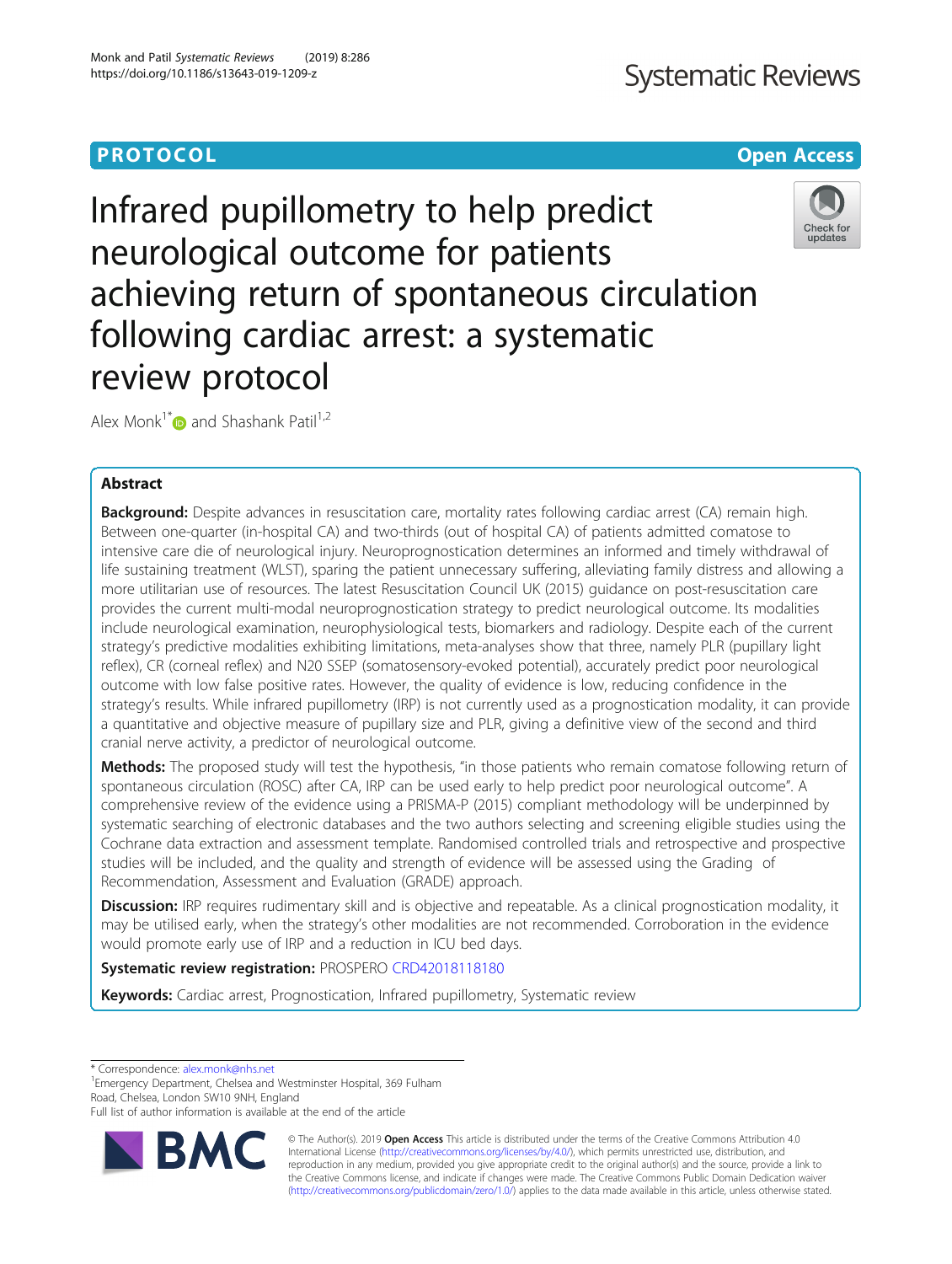# **Systematic Reviews**



Infrared pupillometry to help predict neurological outcome for patients achieving return of spontaneous circulation following cardiac arrest: a systematic review protocol



Alex Monk<sup>1\*</sup> and Shashank Patil<sup>1,2</sup>

# Abstract

Background: Despite advances in resuscitation care, mortality rates following cardiac arrest (CA) remain high. Between one-quarter (in-hospital CA) and two-thirds (out of hospital CA) of patients admitted comatose to intensive care die of neurological injury. Neuroprognostication determines an informed and timely withdrawal of life sustaining treatment (WLST), sparing the patient unnecessary suffering, alleviating family distress and allowing a more utilitarian use of resources. The latest Resuscitation Council UK (2015) guidance on post-resuscitation care provides the current multi-modal neuroprognostication strategy to predict neurological outcome. Its modalities include neurological examination, neurophysiological tests, biomarkers and radiology. Despite each of the current strategy's predictive modalities exhibiting limitations, meta-analyses show that three, namely PLR (pupillary light reflex), CR (corneal reflex) and N20 SSEP (somatosensory-evoked potential), accurately predict poor neurological outcome with low false positive rates. However, the quality of evidence is low, reducing confidence in the strategy's results. While infrared pupillometry (IRP) is not currently used as a prognostication modality, it can provide a quantitative and objective measure of pupillary size and PLR, giving a definitive view of the second and third cranial nerve activity, a predictor of neurological outcome.

Methods: The proposed study will test the hypothesis, "in those patients who remain comatose following return of spontaneous circulation (ROSC) after CA, IRP can be used early to help predict poor neurological outcome". A comprehensive review of the evidence using a PRISMA-P (2015) compliant methodology will be underpinned by systematic searching of electronic databases and the two authors selecting and screening eligible studies using the Cochrane data extraction and assessment template. Randomised controlled trials and retrospective and prospective studies will be included, and the quality and strength of evidence will be assessed using the Grading of Recommendation, Assessment and Evaluation (GRADE) approach.

Discussion: IRP requires rudimentary skill and is objective and repeatable. As a clinical prognostication modality, it may be utilised early, when the strategy's other modalities are not recommended. Corroboration in the evidence would promote early use of IRP and a reduction in ICU bed days.

Systematic review registration: PROSPERO [CRD42018118180](https://www.crd.york.ac.uk/PROSPERO/display_record.php?RecordID=118180)

Keywords: Cardiac arrest, Prognostication, Infrared pupillometry, Systematic review

\* Correspondence: [alex.monk@nhs.net](mailto:alex.monk@nhs.net) <sup>1</sup>

<sup>1</sup> Emergency Department, Chelsea and Westminster Hospital, 369 Fulham Road, Chelsea, London SW10 9NH, England

Full list of author information is available at the end of the article



© The Author(s). 2019 Open Access This article is distributed under the terms of the Creative Commons Attribution 4.0 International License [\(http://creativecommons.org/licenses/by/4.0/](http://creativecommons.org/licenses/by/4.0/)), which permits unrestricted use, distribution, and reproduction in any medium, provided you give appropriate credit to the original author(s) and the source, provide a link to the Creative Commons license, and indicate if changes were made. The Creative Commons Public Domain Dedication waiver [\(http://creativecommons.org/publicdomain/zero/1.0/](http://creativecommons.org/publicdomain/zero/1.0/)) applies to the data made available in this article, unless otherwise stated.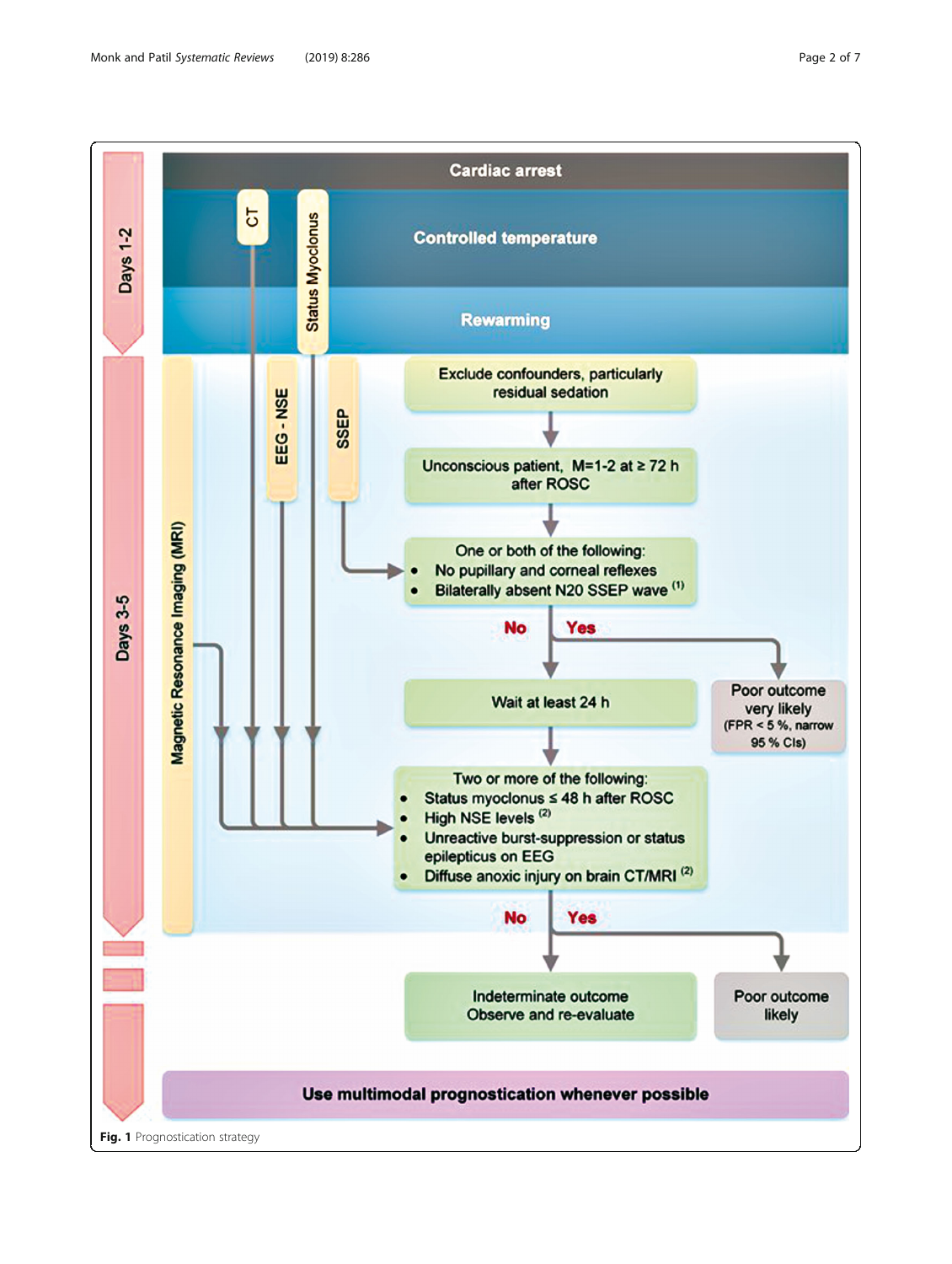<span id="page-1-0"></span>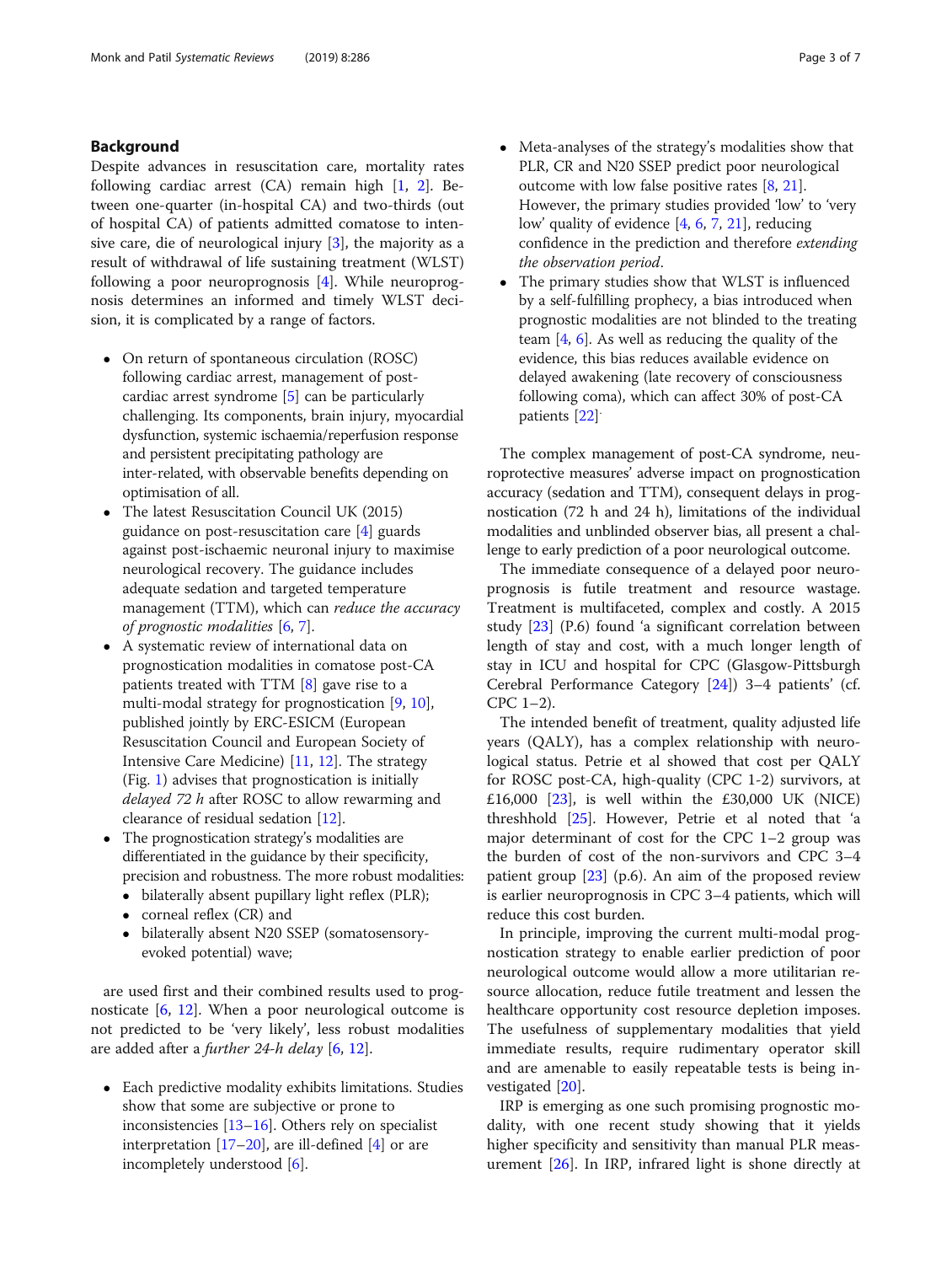# Background

Despite advances in resuscitation care, mortality rates following cardiac arrest (CA) remain high [[1,](#page-5-0) [2](#page-5-0)]. Between one-quarter (in-hospital CA) and two-thirds (out of hospital CA) of patients admitted comatose to intensive care, die of neurological injury [[3\]](#page-5-0), the majority as a result of withdrawal of life sustaining treatment (WLST) following a poor neuroprognosis [\[4\]](#page-5-0). While neuroprognosis determines an informed and timely WLST decision, it is complicated by a range of factors.

- On return of spontaneous circulation (ROSC) following cardiac arrest, management of postcardiac arrest syndrome [[5](#page-5-0)] can be particularly challenging. Its components, brain injury, myocardial dysfunction, systemic ischaemia/reperfusion response and persistent precipitating pathology are inter-related, with observable benefits depending on optimisation of all.
- The latest Resuscitation Council UK (2015) guidance on post-resuscitation care [[4\]](#page-5-0) guards against post-ischaemic neuronal injury to maximise neurological recovery. The guidance includes adequate sedation and targeted temperature management (TTM), which can *reduce the accuracy* of prognostic modalities [\[6,](#page-5-0) [7\]](#page-5-0).
- A systematic review of international data on prognostication modalities in comatose post-CA patients treated with TTM  $[8]$  $[8]$  gave rise to a multi-modal strategy for prognostication [[9,](#page-5-0) [10](#page-5-0)], published jointly by ERC-ESICM (European Resuscitation Council and European Society of Intensive Care Medicine) [\[11](#page-5-0), [12\]](#page-5-0). The strategy (Fig. [1\)](#page-1-0) advises that prognostication is initially delayed 72 h after ROSC to allow rewarming and clearance of residual sedation [\[12\]](#page-5-0).
- The prognostication strategy's modalities are differentiated in the guidance by their specificity, precision and robustness. The more robust modalities:
	- bilaterally absent pupillary light reflex (PLR);
	- corneal reflex (CR) and
	- bilaterally absent N20 SSEP (somatosensoryevoked potential) wave;

are used first and their combined results used to prognosticate  $[6, 12]$  $[6, 12]$  $[6, 12]$ . When a poor neurological outcome is not predicted to be 'very likely', less robust modalities are added after a further 24-h delay [\[6](#page-5-0), [12\]](#page-5-0).

 Each predictive modality exhibits limitations. Studies show that some are subjective or prone to inconsistencies [[13](#page-5-0)–[16\]](#page-5-0). Others rely on specialist interpretation  $[17–20]$  $[17–20]$  $[17–20]$  $[17–20]$ , are ill-defined  $[4]$  $[4]$  or are incompletely understood [[6\]](#page-5-0).

- Meta-analyses of the strategy's modalities show that PLR, CR and N20 SSEP predict poor neurological outcome with low false positive rates [\[8,](#page-5-0) [21\]](#page-5-0). However, the primary studies provided 'low' to 'very low' quality of evidence [\[4](#page-5-0), [6](#page-5-0), [7,](#page-5-0) [21\]](#page-5-0), reducing confidence in the prediction and therefore extending the observation period.
- The primary studies show that WLST is influenced by a self-fulfilling prophecy, a bias introduced when prognostic modalities are not blinded to the treating team  $[4, 6]$  $[4, 6]$  $[4, 6]$  $[4, 6]$  $[4, 6]$ . As well as reducing the quality of the evidence, this bias reduces available evidence on delayed awakening (late recovery of consciousness following coma), which can affect 30% of post-CA patients [\[22\]](#page-5-0) .

The complex management of post-CA syndrome, neuroprotective measures' adverse impact on prognostication accuracy (sedation and TTM), consequent delays in prognostication (72 h and 24 h), limitations of the individual modalities and unblinded observer bias, all present a challenge to early prediction of a poor neurological outcome.

The immediate consequence of a delayed poor neuroprognosis is futile treatment and resource wastage. Treatment is multifaceted, complex and costly. A 2015 study [[23](#page-6-0)] (P.6) found 'a significant correlation between length of stay and cost, with a much longer length of stay in ICU and hospital for CPC (Glasgow-Pittsburgh Cerebral Performance Category [[24](#page-6-0)]) 3–4 patients' (cf. CPC 1–2).

The intended benefit of treatment, quality adjusted life years (QALY), has a complex relationship with neurological status. Petrie et al showed that cost per QALY for ROSC post-CA, high-quality (CPC 1-2) survivors, at £16,000 [\[23](#page-6-0)], is well within the £30,000 UK (NICE) threshhold [[25\]](#page-6-0). However, Petrie et al noted that 'a major determinant of cost for the CPC 1–2 group was the burden of cost of the non-survivors and CPC 3–4 patient group [\[23](#page-6-0)] (p.6). An aim of the proposed review is earlier neuroprognosis in CPC 3–4 patients, which will reduce this cost burden.

In principle, improving the current multi-modal prognostication strategy to enable earlier prediction of poor neurological outcome would allow a more utilitarian resource allocation, reduce futile treatment and lessen the healthcare opportunity cost resource depletion imposes. The usefulness of supplementary modalities that yield immediate results, require rudimentary operator skill and are amenable to easily repeatable tests is being investigated [\[20\]](#page-5-0).

IRP is emerging as one such promising prognostic modality, with one recent study showing that it yields higher specificity and sensitivity than manual PLR measurement [[26](#page-6-0)]. In IRP, infrared light is shone directly at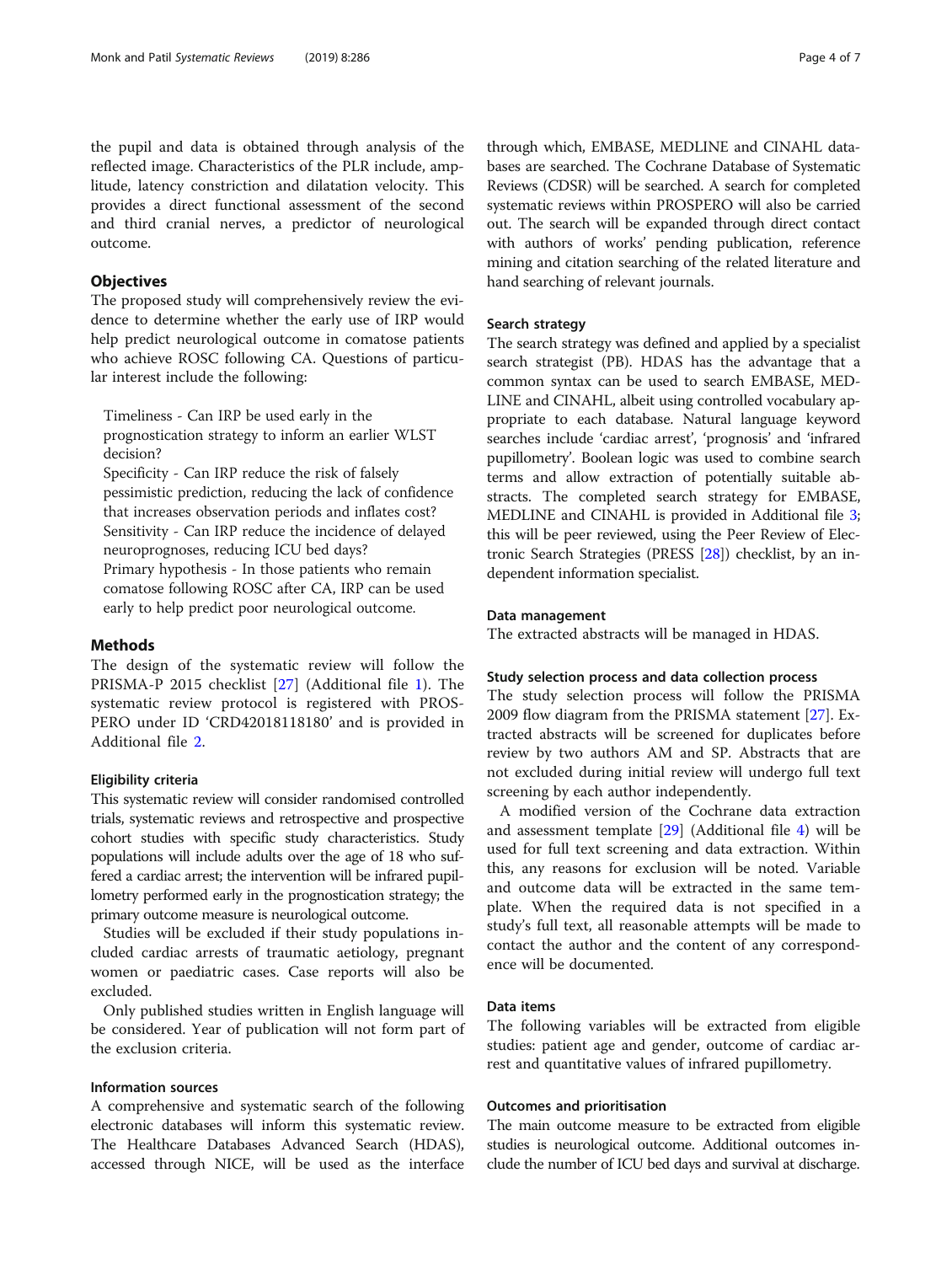the pupil and data is obtained through analysis of the reflected image. Characteristics of the PLR include, amplitude, latency constriction and dilatation velocity. This provides a direct functional assessment of the second and third cranial nerves, a predictor of neurological outcome.

# **Objectives**

The proposed study will comprehensively review the evidence to determine whether the early use of IRP would help predict neurological outcome in comatose patients who achieve ROSC following CA. Questions of particular interest include the following:

Timeliness - Can IRP be used early in the prognostication strategy to inform an earlier WLST decision?

Specificity - Can IRP reduce the risk of falsely pessimistic prediction, reducing the lack of confidence that increases observation periods and inflates cost? Sensitivity - Can IRP reduce the incidence of delayed neuroprognoses, reducing ICU bed days? Primary hypothesis - In those patients who remain comatose following ROSC after CA, IRP can be used early to help predict poor neurological outcome.

# Methods

The design of the systematic review will follow the PRISMA-P 2015 checklist [[27](#page-6-0)] (Additional file [1\)](#page-4-0). The systematic review protocol is registered with PROS-PERO under ID 'CRD42018118180' and is provided in Additional file [2](#page-5-0).

# Eligibility criteria

This systematic review will consider randomised controlled trials, systematic reviews and retrospective and prospective cohort studies with specific study characteristics. Study populations will include adults over the age of 18 who suffered a cardiac arrest; the intervention will be infrared pupillometry performed early in the prognostication strategy; the primary outcome measure is neurological outcome.

Studies will be excluded if their study populations included cardiac arrests of traumatic aetiology, pregnant women or paediatric cases. Case reports will also be excluded.

Only published studies written in English language will be considered. Year of publication will not form part of the exclusion criteria.

# Information sources

A comprehensive and systematic search of the following electronic databases will inform this systematic review. The Healthcare Databases Advanced Search (HDAS), accessed through NICE, will be used as the interface

through which, EMBASE, MEDLINE and CINAHL databases are searched. The Cochrane Database of Systematic Reviews (CDSR) will be searched. A search for completed systematic reviews within PROSPERO will also be carried out. The search will be expanded through direct contact with authors of works' pending publication, reference mining and citation searching of the related literature and hand searching of relevant journals.

#### Search strategy

The search strategy was defined and applied by a specialist search strategist (PB). HDAS has the advantage that a common syntax can be used to search EMBASE, MED-LINE and CINAHL, albeit using controlled vocabulary appropriate to each database. Natural language keyword searches include 'cardiac arrest', 'prognosis' and 'infrared pupillometry'. Boolean logic was used to combine search terms and allow extraction of potentially suitable abstracts. The completed search strategy for EMBASE, MEDLINE and CINAHL is provided in Additional file [3](#page-5-0); this will be peer reviewed, using the Peer Review of Electronic Search Strategies (PRESS [\[28\]](#page-6-0)) checklist, by an independent information specialist.

### Data management

The extracted abstracts will be managed in HDAS.

### Study selection process and data collection process

The study selection process will follow the PRISMA 2009 flow diagram from the PRISMA statement [[27\]](#page-6-0). Extracted abstracts will be screened for duplicates before review by two authors AM and SP. Abstracts that are not excluded during initial review will undergo full text screening by each author independently.

A modified version of the Cochrane data extraction and assessment template [\[29](#page-6-0)] (Additional file [4\)](#page-5-0) will be used for full text screening and data extraction. Within this, any reasons for exclusion will be noted. Variable and outcome data will be extracted in the same template. When the required data is not specified in a study's full text, all reasonable attempts will be made to contact the author and the content of any correspondence will be documented.

# Data items

The following variables will be extracted from eligible studies: patient age and gender, outcome of cardiac arrest and quantitative values of infrared pupillometry.

### Outcomes and prioritisation

The main outcome measure to be extracted from eligible studies is neurological outcome. Additional outcomes include the number of ICU bed days and survival at discharge.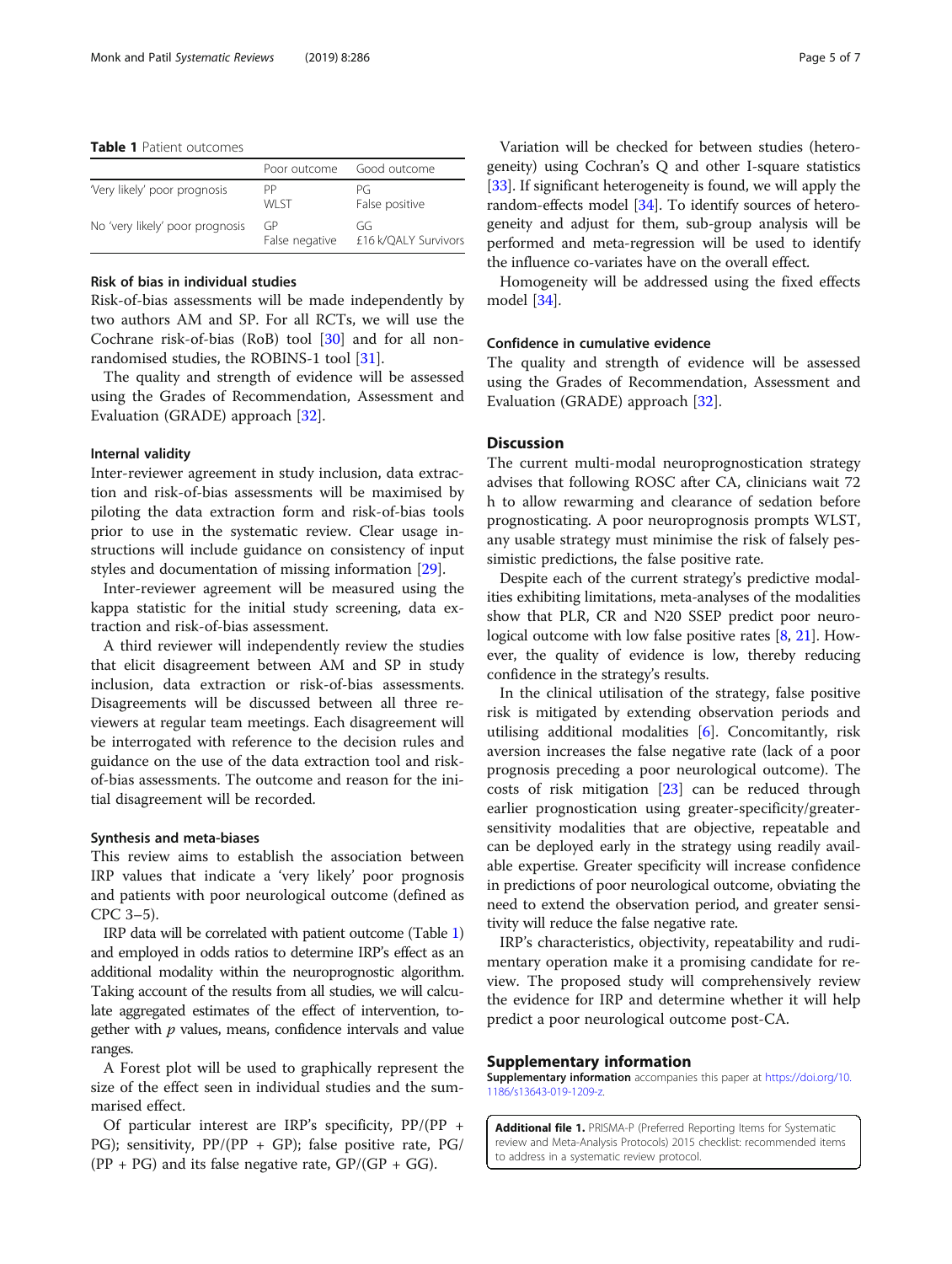#### <span id="page-4-0"></span>Table 1 Patient outcomes

|                                 | Poor outcome         | Good outcome               |
|---------------------------------|----------------------|----------------------------|
| 'Very likely' poor prognosis    | ΡP<br>WI ST          | PG.<br>False positive      |
| No 'very likely' poor prognosis | GP<br>False negative | GG<br>£16 k/QALY Survivors |

### Risk of bias in individual studies

Risk-of-bias assessments will be made independently by two authors AM and SP. For all RCTs, we will use the Cochrane risk-of-bias (RoB) tool [\[30\]](#page-6-0) and for all nonrandomised studies, the ROBINS-1 tool [[31](#page-6-0)].

The quality and strength of evidence will be assessed using the Grades of Recommendation, Assessment and Evaluation (GRADE) approach [[32](#page-6-0)].

## Internal validity

Inter-reviewer agreement in study inclusion, data extraction and risk-of-bias assessments will be maximised by piloting the data extraction form and risk-of-bias tools prior to use in the systematic review. Clear usage instructions will include guidance on consistency of input styles and documentation of missing information [[29\]](#page-6-0).

Inter-reviewer agreement will be measured using the kappa statistic for the initial study screening, data extraction and risk-of-bias assessment.

A third reviewer will independently review the studies that elicit disagreement between AM and SP in study inclusion, data extraction or risk-of-bias assessments. Disagreements will be discussed between all three reviewers at regular team meetings. Each disagreement will be interrogated with reference to the decision rules and guidance on the use of the data extraction tool and riskof-bias assessments. The outcome and reason for the initial disagreement will be recorded.

#### Synthesis and meta-biases

This review aims to establish the association between IRP values that indicate a 'very likely' poor prognosis and patients with poor neurological outcome (defined as CPC 3–5).

IRP data will be correlated with patient outcome (Table 1) and employed in odds ratios to determine IRP's effect as an additional modality within the neuroprognostic algorithm. Taking account of the results from all studies, we will calculate aggregated estimates of the effect of intervention, together with  $p$  values, means, confidence intervals and value ranges.

A Forest plot will be used to graphically represent the size of the effect seen in individual studies and the summarised effect.

Of particular interest are IRP's specificity, PP/(PP + PG); sensitivity,  $PP/(PP + GP)$ ; false positive rate, PG/  $(PP + PG)$  and its false negative rate,  $GP/(GP + GG)$ .

Variation will be checked for between studies (heterogeneity) using Cochran's Q and other I-square statistics [[33](#page-6-0)]. If significant heterogeneity is found, we will apply the random-effects model [[34](#page-6-0)]. To identify sources of heterogeneity and adjust for them, sub-group analysis will be performed and meta-regression will be used to identify the influence co-variates have on the overall effect.

Homogeneity will be addressed using the fixed effects model [\[34](#page-6-0)].

### Confidence in cumulative evidence

The quality and strength of evidence will be assessed using the Grades of Recommendation, Assessment and Evaluation (GRADE) approach [[32](#page-6-0)].

# **Discussion**

The current multi-modal neuroprognostication strategy advises that following ROSC after CA, clinicians wait 72 h to allow rewarming and clearance of sedation before prognosticating. A poor neuroprognosis prompts WLST, any usable strategy must minimise the risk of falsely pessimistic predictions, the false positive rate.

Despite each of the current strategy's predictive modalities exhibiting limitations, meta-analyses of the modalities show that PLR, CR and N20 SSEP predict poor neurological outcome with low false positive rates [\[8,](#page-5-0) [21\]](#page-5-0). However, the quality of evidence is low, thereby reducing confidence in the strategy's results.

In the clinical utilisation of the strategy, false positive risk is mitigated by extending observation periods and utilising additional modalities [[6\]](#page-5-0). Concomitantly, risk aversion increases the false negative rate (lack of a poor prognosis preceding a poor neurological outcome). The costs of risk mitigation [[23\]](#page-6-0) can be reduced through earlier prognostication using greater-specificity/greatersensitivity modalities that are objective, repeatable and can be deployed early in the strategy using readily available expertise. Greater specificity will increase confidence in predictions of poor neurological outcome, obviating the need to extend the observation period, and greater sensitivity will reduce the false negative rate.

IRP's characteristics, objectivity, repeatability and rudimentary operation make it a promising candidate for review. The proposed study will comprehensively review the evidence for IRP and determine whether it will help predict a poor neurological outcome post-CA.

# Supplementary information

Supplementary information accompanies this paper at [https://doi.org/10.](https://doi.org/10.1186/s13643-019-1209-z) [1186/s13643-019-1209-z](https://doi.org/10.1186/s13643-019-1209-z).

Additional file 1. PRISMA-P (Preferred Reporting Items for Systematic review and Meta-Analysis Protocols) 2015 checklist: recommended items to address in a systematic review protocol.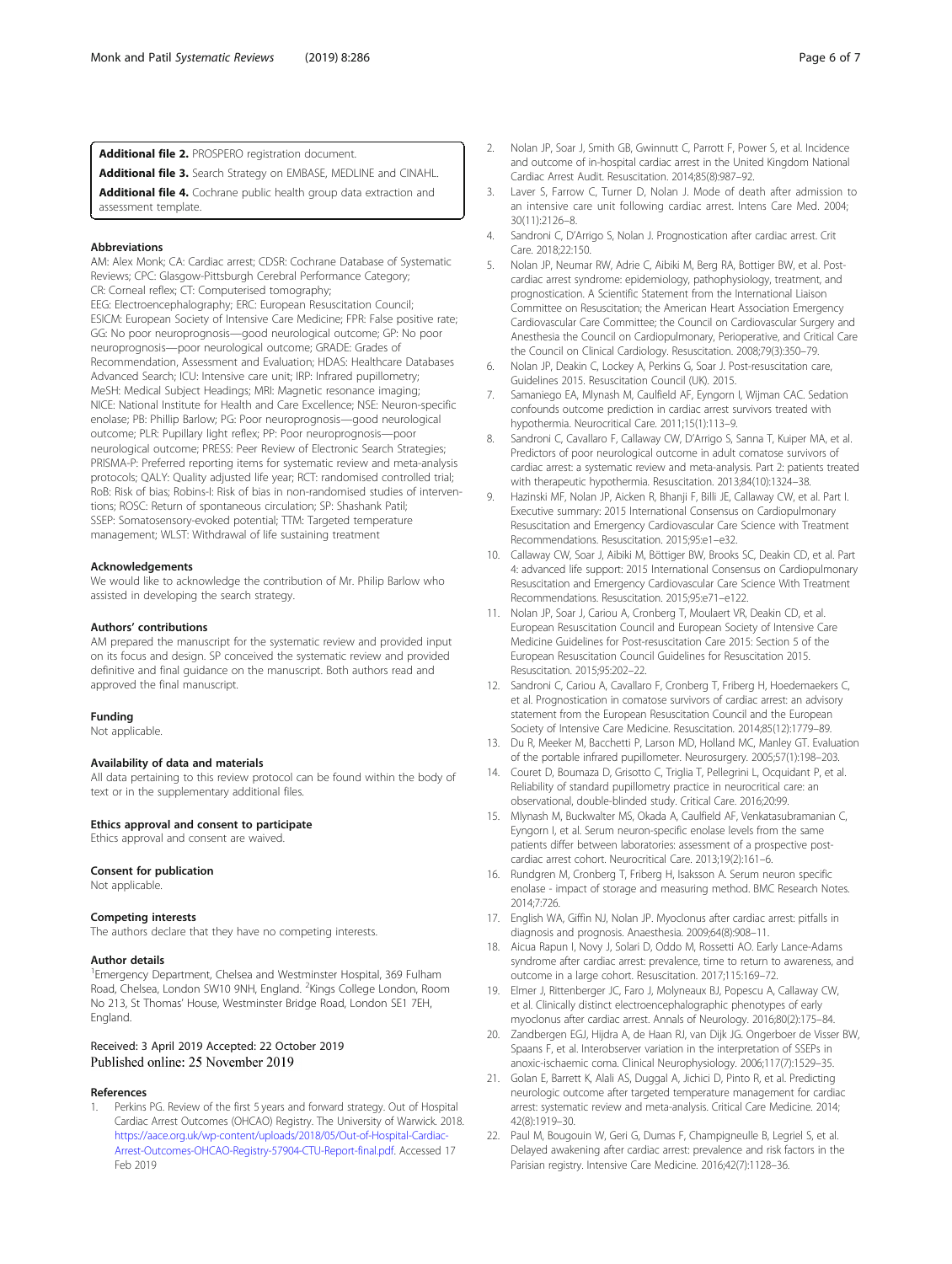<span id="page-5-0"></span>Additional file 2. PROSPERO registration document.

Additional file 3. Search Strategy on EMBASE, MEDLINE and CINAHL. Additional file 4. Cochrane public health group data extraction and assessment template.

#### Abbreviations

AM: Alex Monk; CA: Cardiac arrest; CDSR: Cochrane Database of Systematic Reviews; CPC: Glasgow-Pittsburgh Cerebral Performance Category; CR: Corneal reflex; CT: Computerised tomography;

EEG: Electroencephalography; ERC: European Resuscitation Council; ESICM: European Society of Intensive Care Medicine; FPR: False positive rate; GG: No poor neuroprognosis—good neurological outcome; GP: No poor neuroprognosis—poor neurological outcome; GRADE: Grades of Recommendation, Assessment and Evaluation; HDAS: Healthcare Databases Advanced Search; ICU: Intensive care unit; IRP: Infrared pupillometry; MeSH: Medical Subject Headings; MRI: Magnetic resonance imaging; NICE: National Institute for Health and Care Excellence; NSE: Neuron-specific enolase; PB: Phillip Barlow; PG: Poor neuroprognosis—good neurological outcome; PLR: Pupillary light reflex; PP: Poor neuroprognosis—poor neurological outcome; PRESS: Peer Review of Electronic Search Strategies; PRISMA-P: Preferred reporting items for systematic review and meta-analysis protocols; QALY: Quality adjusted life year; RCT: randomised controlled trial; RoB: Risk of bias; Robins-I: Risk of bias in non-randomised studies of interventions; ROSC: Return of spontaneous circulation; SP: Shashank Patil; SSEP: Somatosensory-evoked potential; TTM: Targeted temperature management; WLST: Withdrawal of life sustaining treatment

# Acknowledgements

We would like to acknowledge the contribution of Mr. Philip Barlow who assisted in developing the search strategy.

#### Authors' contributions

AM prepared the manuscript for the systematic review and provided input on its focus and design. SP conceived the systematic review and provided definitive and final guidance on the manuscript. Both authors read and approved the final manuscript.

#### Funding

Not applicable.

#### Availability of data and materials

All data pertaining to this review protocol can be found within the body of text or in the supplementary additional files.

#### Ethics approval and consent to participate

Ethics approval and consent are waived.

#### Consent for publication

Not applicable.

#### Competing interests

The authors declare that they have no competing interests.

#### Author details

<sup>1</sup> Emergency Department, Chelsea and Westminster Hospital, 369 Fulham Road, Chelsea, London SW10 9NH, England. <sup>2</sup>Kings College London, Room No 213, St Thomas' House, Westminster Bridge Road, London SE1 7EH, England.

# Received: 3 April 2019 Accepted: 22 October 2019<br>Published online: 25 November 2019

### References

Perkins PG. Review of the first 5 years and forward strategy. Out of Hospital Cardiac Arrest Outcomes (OHCAO) Registry. The University of Warwick. 2018. [https://aace.org.uk/wp-content/uploads/2018/05/Out-of-Hospital-Cardiac-](https://aace.org.uk/wp-content/uploads/2018/05/Out-of-Hospital-Cardiac-Arrest-Outcomes-OHCAO-Registry-57904-CTU-Report-final.pdf)[Arrest-Outcomes-OHCAO-Registry-57904-CTU-Report-final.pdf.](https://aace.org.uk/wp-content/uploads/2018/05/Out-of-Hospital-Cardiac-Arrest-Outcomes-OHCAO-Registry-57904-CTU-Report-final.pdf) Accessed 17 Feb 2019

- 2. Nolan JP, Soar J, Smith GB, Gwinnutt C, Parrott F, Power S, et al. Incidence and outcome of in-hospital cardiac arrest in the United Kingdom National Cardiac Arrest Audit. Resuscitation. 2014;85(8):987–92.
- 3. Laver S, Farrow C, Turner D, Nolan J. Mode of death after admission to an intensive care unit following cardiac arrest. Intens Care Med. 2004; 30(11):2126–8.
- 4. Sandroni C, D'Arrigo S, Nolan J. Prognostication after cardiac arrest. Crit Care. 2018;22:150.
- 5. Nolan JP, Neumar RW, Adrie C, Aibiki M, Berg RA, Bottiger BW, et al. Postcardiac arrest syndrome: epidemiology, pathophysiology, treatment, and prognostication. A Scientific Statement from the International Liaison Committee on Resuscitation; the American Heart Association Emergency Cardiovascular Care Committee; the Council on Cardiovascular Surgery and Anesthesia the Council on Cardiopulmonary, Perioperative, and Critical Care the Council on Clinical Cardiology. Resuscitation. 2008;79(3):350–79.
- 6. Nolan JP, Deakin C, Lockey A, Perkins G, Soar J. Post-resuscitation care, Guidelines 2015. Resuscitation Council (UK). 2015.
- 7. Samaniego EA, Mlynash M, Caulfield AF, Eyngorn I, Wijman CAC. Sedation confounds outcome prediction in cardiac arrest survivors treated with hypothermia. Neurocritical Care. 2011;15(1):113–9.
- 8. Sandroni C, Cavallaro F, Callaway CW, D'Arrigo S, Sanna T, Kuiper MA, et al. Predictors of poor neurological outcome in adult comatose survivors of cardiac arrest: a systematic review and meta-analysis. Part 2: patients treated with therapeutic hypothermia. Resuscitation. 2013;84(10):1324–38.
- 9. Hazinski MF, Nolan JP, Aicken R, Bhanji F, Billi JE, Callaway CW, et al. Part I. Executive summary: 2015 International Consensus on Cardiopulmonary Resuscitation and Emergency Cardiovascular Care Science with Treatment Recommendations. Resuscitation. 2015;95:e1–e32.
- 10. Callaway CW, Soar J, Aibiki M, Böttiger BW, Brooks SC, Deakin CD, et al. Part 4: advanced life support: 2015 International Consensus on Cardiopulmonary Resuscitation and Emergency Cardiovascular Care Science With Treatment Recommendations. Resuscitation. 2015;95:e71–e122.
- 11. Nolan JP, Soar J, Cariou A, Cronberg T, Moulaert VR, Deakin CD, et al. European Resuscitation Council and European Society of Intensive Care Medicine Guidelines for Post-resuscitation Care 2015: Section 5 of the European Resuscitation Council Guidelines for Resuscitation 2015. Resuscitation. 2015;95:202–22.
- 12. Sandroni C, Cariou A, Cavallaro F, Cronberg T, Friberg H, Hoedemaekers C, et al. Prognostication in comatose survivors of cardiac arrest: an advisory statement from the European Resuscitation Council and the European Society of Intensive Care Medicine. Resuscitation. 2014;85(12):1779–89.
- 13. Du R, Meeker M, Bacchetti P, Larson MD, Holland MC, Manley GT. Evaluation of the portable infrared pupillometer. Neurosurgery. 2005;57(1):198–203.
- 14. Couret D, Boumaza D, Grisotto C, Triglia T, Pellegrini L, Ocquidant P, et al. Reliability of standard pupillometry practice in neurocritical care: an observational, double-blinded study. Critical Care. 2016;20:99.
- 15. Mlynash M, Buckwalter MS, Okada A, Caulfield AF, Venkatasubramanian C, Eyngorn I, et al. Serum neuron-specific enolase levels from the same patients differ between laboratories: assessment of a prospective postcardiac arrest cohort. Neurocritical Care. 2013;19(2):161–6.
- 16. Rundgren M, Cronberg T, Friberg H, Isaksson A. Serum neuron specific enolase - impact of storage and measuring method. BMC Research Notes. 2014;7:726.
- 17. English WA, Giffin NJ, Nolan JP. Myoclonus after cardiac arrest: pitfalls in diagnosis and prognosis. Anaesthesia. 2009;64(8):908–11.
- 18. Aicua Rapun I, Novy J, Solari D, Oddo M, Rossetti AO. Early Lance-Adams syndrome after cardiac arrest: prevalence, time to return to awareness, and outcome in a large cohort. Resuscitation. 2017;115:169–72.
- 19. Elmer J, Rittenberger JC, Faro J, Molyneaux BJ, Popescu A, Callaway CW, et al. Clinically distinct electroencephalographic phenotypes of early myoclonus after cardiac arrest. Annals of Neurology. 2016;80(2):175–84.
- 20. Zandbergen EGJ, Hijdra A, de Haan RJ, van Dijk JG. Ongerboer de Visser BW, Spaans F, et al. Interobserver variation in the interpretation of SSEPs in anoxic-ischaemic coma. Clinical Neurophysiology. 2006;117(7):1529–35.
- 21. Golan E, Barrett K, Alali AS, Duggal A, Jichici D, Pinto R, et al. Predicting neurologic outcome after targeted temperature management for cardiac arrest: systematic review and meta-analysis. Critical Care Medicine. 2014; 42(8):1919–30.
- 22. Paul M, Bougouin W, Geri G, Dumas F, Champigneulle B, Legriel S, et al. Delayed awakening after cardiac arrest: prevalence and risk factors in the Parisian registry. Intensive Care Medicine. 2016;42(7):1128–36.